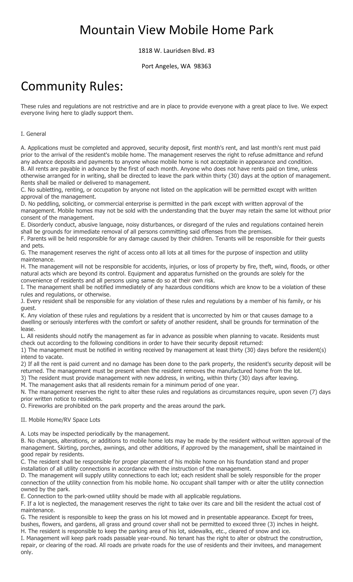## Mountain View Mobile Home Park

1818 W. Lauridsen Blvd. #3

Port Angeles, WA 98363

# **Community Rules:**

These rules and regulations are not restrictive and are in place to provide everyone with a great place to live. We expect everyone living here to gladly support them.

### I. General

A. Applications must be completed and approved, security deposit, first month's rent, and last month's rent must paid prior to the arrival of the resident's mobile home. The management reserves the right to refuse admittance and refund any advance deposits and payments to anyone whose mobile home is not acceptable in appearance and condition. B. All rents are payable in advance by the first of each month. Anyone who does not have rents paid on time, unless otherwise arranged for in writing, shall be directed to leave the park within thirty (30) days at the option of management. Rents shall be mailed or delivered to management.

C. No subletting, renting, or occupation by anyone not listed on the application will be permitted except with written approval of the management.

D. No peddling, soliciting, or commercial enterprise is permitted in the park except with written approval of the management. Mobile homes may not be sold with the understanding that the buyer may retain the same lot without prior consent of the management.

E. Disorderly conduct, abusive language, noisy disturbances, or disregard of the rules and regulations contained herein shall be grounds for immediate removal of all persons committing said offenses from the premises.

F. Parents will be held responsible for any damage caused by their children. Tenants will be responsible for their guests and pets.

G. The management reserves the right of access onto all lots at all times for the purpose of inspection and utility maintenance.

H. The management will not be responsible for accidents, injuries, or loss of property by fire, theft, wind, floods, or other natural acts which are beyond its control. Equipment and apparatus furnished on the grounds are solely for the convenience of residents and all persons using same do so at their own risk.

I. The management shall be notified immediately of any hazardous conditions which are know to be a violation of these rules and regulations, or otherwise.

J. Every resident shall be responsible for any violation of these rules and regulations by a member of his family, or his guest.

K. Any violation of these rules and regulations by a resident that is uncorrected by him or that causes damage to a dwelling or seriously interferes with the comfort or safety of another resident, shall be grounds for termination of the lease.

L. All residents should notify the management as far in advance as possible when planning to vacate. Residents must check out according to the following conditions in order to have their security deposit returned:

1) The management must be notified in writing received by management at least thirty (30) days before the resident(s) intend to vacate.

2) If all the rent is paid current and no damage has been done to the park property, the resident's security deposit will be returned. The management must be present when the resident removes the manufactured home from the lot.

3) The resident must provide management with new address, in writing, within thirty (30) days after leaving.

M. The management asks that all residents remain for a minimum period of one year.

N. The management reserves the right to alter these rules and regulations as circumstances require, upon seven (7) days prior written notice to residents.

O. Fireworks are prohibited on the park property and the areas around the park.

#### II. Mobile Home/RV Space Lots

A. Lots may be inspected periodically by the management.

B. No changes, alterations, or additions to mobile home lots may be made by the resident without written approval of the management. Skirting, porches, awnings, and other additions, if approved by the management, shall be maintained in good repair by residents.

C. The resident shall be responsible for proper placement of his mobile home on his foundation stand and proper installation of all utility connections in accordance with the instruction of the management.

D. The management will supply utility connections to each lot; each resident shall be solely responsible for the proper connection of the utility connection from his mobile home. No occupant shall tamper with or alter the utility connection owned by the park.

E. Connection to the park-owned utility should be made with all applicable regulations.

F. If a lot is neglected, the management reserves the right to take over its care and bill the resident the actual cost of maintenance.

G. The resident is responsible to keep the grass on his lot mowed and in presentable appearance. Except for trees, bushes, flowers, and gardens, all grass and ground cover shall not be permitted to exceed three (3) inches in height. H. The resident is responsible to keep the parking area of his lot, sidewalks, etc., cleared of snow and ice.

I. Management will keep park roads passable year-round. No tenant has the right to alter or obstruct the construction, repair, or clearing of the road. All roads are private roads for the use of residents and their invitees, and management only.